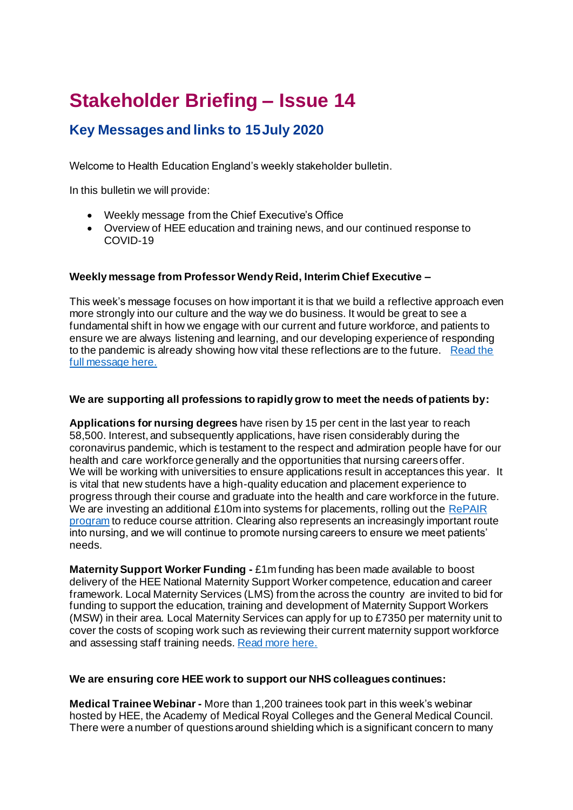# **Stakeholder Briefing – Issue 14**

# **Key Messages and links to 15July 2020**

Welcome to Health Education England's weekly stakeholder bulletin.

In this bulletin we will provide:

- Weekly message from the Chief Executive's Office
- Overview of HEE education and training news, and our continued response to COVID-19

# **Weekly message from Professor Wendy Reid, Interim Chief Executive –**

This week's message focuses on how important it is that we build a reflective approach even more strongly into our culture and the way we do business. It would be great to see a fundamental shift in how we engage with our current and future workforce, and patients to ensure we are always listening and learning, and our developing experience of responding to the pandemic is already showing how vital these reflections are to the future. Read the [full message here.](https://www.hee.nhs.uk/news-blogs-events/blogs/impact-our-actions-can-affect-not-only-patient-being-treated-families-future-generations)

## **We are supporting all professions to rapidly grow to meet the needs of patients by:**

**Applications for nursing degrees** have risen by 15 per cent in the last year to reach 58,500. Interest, and subsequently applications, have risen considerably during the coronavirus pandemic, which is testament to the respect and admiration people have for our health and care workforce generally and the opportunities that nursing careers offer. We will be working with universities to ensure applications result in acceptances this year. It is vital that new students have a high-quality education and placement experience to progress through their course and graduate into the health and care workforce in the future. We are investing an additional £10m into systems for placements, rolling out the RePAIR [program](https://www.hee.nhs.uk/our-work/reducing-pre-registration-attrition-improving-retention) to reduce course attrition. Clearing also represents an increasingly important route into nursing, and we will continue to promote nursing careers to ensure we meet patients' needs.

**Maternity Support Worker Funding -** £1m funding has been made available to boost delivery of the HEE National Maternity Support Worker competence, education and career framework. Local Maternity Services (LMS) from the across the country are invited to bid for funding to support the education, training and development of Maternity Support Workers (MSW) in their area. Local Maternity Services can apply for up to £7350 per maternity unit to cover the costs of scoping work such as reviewing their current maternity support workforce and assessing staff training needs[. Read more here.](https://www.hee.nhs.uk/news-blogs-events/news/£1m-funding-available-boost-delivery-hee-national-maternity-support-worker-competence-education?utm_source=Twitter&utm_medium=social&utm_campaign=SocialSignIn)

## **We are ensuring core HEE work to support our NHS colleagues continues:**

**Medical Trainee Webinar -** More than 1,200 trainees took part in this week's webinar hosted by HEE, the Academy of Medical Royal Colleges and the General Medical Council. There were a number of questions around shielding which is a significant concern to many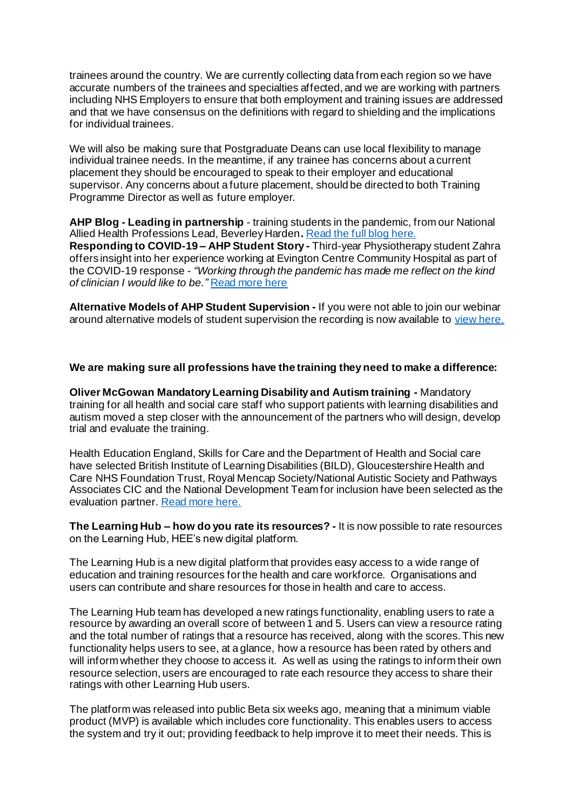trainees around the country. We are currently collecting data from each region so we have accurate numbers of the trainees and specialties affected, and we are working with partners including NHS Employers to ensure that both employment and training issues are addressed and that we have consensus on the definitions with regard to shielding and the implications for individual trainees.

We will also be making sure that Postgraduate Deans can use local flexibility to manage individual trainee needs. In the meantime, if any trainee has concerns about a current placement they should be encouraged to speak to their employer and educational supervisor. Any concerns about a future placement, should be directed to both Training Programme Director as well as future employer.

**AHP Blog - Leading in partnership** - training students in the pandemic, from our National Allied Health Professions Lead, Beverley Harden**.** [Read the full blog here.](https://www.hee.nhs.uk/news-blogs-events/blogs/leading-partnership-training-students-pandemic?utm_source=Twitter&utm_medium=social&utm_campaign=SocialSignIn&utm_content=%23AHPCareers) **Responding to COVID-19 – AHP Student Story -** Third-year Physiotherapy student Zahra offers insight into her experience working at Evington Centre Community Hospital as part of the COVID-19 response - *"Working through the pandemic has made me reflect on the kind of clinician I would like to be."* [Read more here](https://www.hee.nhs.uk/sites/default/files/documents/Case%20study%20-%20Zahra%20Fazal.pdf?utm_source=Twitter&utm_medium=social&utm_campaign=SocialSignIn&utm_content=%23COVID19)

**Alternative Models of AHP Student Supervision -** If you were not able to join our webinar around alternative models of student supervision the recording is now available to [view here.](https://www.youtube.com/watch?v=lGm1CU8O9Bc&list=PLrVQaAxyJE3cR0l5tkxWWYf-F47XYHiWu&index=3&t=0s&utm_source=Twitter&utm_medium=social&utm_campaign=SocialSignIn)

#### **We are making sure all professions have the training they need to make a difference:**

**Oliver McGowan Mandatory Learning Disability and Autism training -** Mandatory training for all health and social care staff who support patients with learning disabilities and autism moved a step closer with the announcement of the partners who will design, develop trial and evaluate the training.

Health Education England, Skills for Care and the Department of Health and Social care have selected British Institute of Learning Disabilities (BILD), Gloucestershire Health and Care NHS Foundation Trust, Royal Mencap Society/National Autistic Society and Pathways Associates CIC and the National Development Team for inclusion have been selected as the evaluation partner. [Read more here.](https://www.hee.nhs.uk/news-blogs-events/news/partners-announced-deliver-oliver-mcgowan-mandatory-learning-disability-autism-training-all-health)

**The Learning Hub – how do you rate its resources? -** It is now possible to rate resources on the Learning Hub, HEE's new digital platform.

The Learning Hub is a new digital platform that provides easy access to a wide range of education and training resources for the health and care workforce. Organisations and users can contribute and share resources for those in health and care to access.

The Learning Hub team has developed a new ratings functionality, enabling users to rate a resource by awarding an overall score of between 1 and 5. Users can view a resource rating and the total number of ratings that a resource has received, along with the scores. This new functionality helps users to see, at a glance, how a resource has been rated by others and will inform whether they choose to access it. As well as using the ratings to inform their own resource selection, users are encouraged to rate each resource they access to share their ratings with other Learning Hub users.

The platform was released into public Beta six weeks ago, meaning that a minimum viable product (MVP) is available which includes core functionality. This enables users to access the system and try it out; providing feedback to help improve it to meet their needs. This is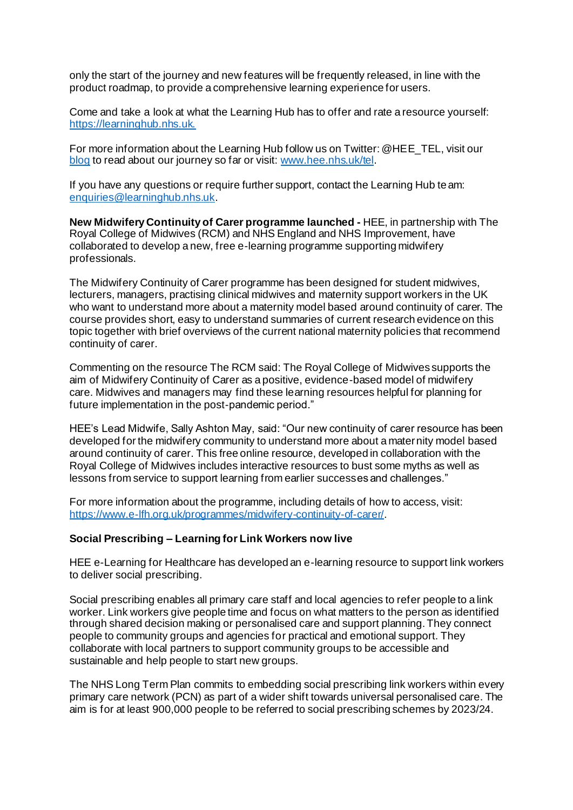only the start of the journey and new features will be frequently released, in line with the product roadmap, to provide a comprehensive learning experience for users.

Come and take a look at what the Learning Hub has to offer and rate a resource yourself: [https://learninghub.nhs.uk.](https://learninghub.nhs.uk./)

For more information about the Learning Hub follow us on Twitter: @HEE\_TEL, visit our [blog](https://telblog.hee.nhs.uk/) to read about our journey so far or visit[: www.hee.nhs.uk/tel](http://www.hee.nhs.uk/tel).

If you have any questions or require further support, contact the Learning Hub team: [enquiries@learninghub.nhs.uk](mailto:enquiries@learninghub.nhs.uk).

**New Midwifery Continuity of Carer programme launched -** HEE, in partnership with The Royal College of Midwives (RCM) and NHS England and NHS Improvement, have collaborated to develop a new, free e-learning programme supporting midwifery professionals.

The Midwifery Continuity of Carer programme has been designed for student midwives, lecturers, managers, practising clinical midwives and maternity support workers in the UK who want to understand more about a maternity model based around continuity of carer. The course provides short, easy to understand summaries of current research evidence on this topic together with brief overviews of the current national maternity policies that recommend continuity of carer.

Commenting on the resource The RCM said: The Royal College of Midwives supports the aim of Midwifery Continuity of Carer as a positive, evidence-based model of midwifery care. Midwives and managers may find these learning resources helpful for planning for future implementation in the post-pandemic period."

HEE's Lead Midwife, Sally Ashton May, said: "Our new continuity of carer resource has been developed for the midwifery community to understand more about a maternity model based around continuity of carer. This free online resource, developed in collaboration with the Royal College of Midwives includes interactive resources to bust some myths as well as lessons from service to support learning from earlier successes and challenges."

For more information about the programme, including details of how to access, visit: <https://www.e-lfh.org.uk/programmes/midwifery-continuity-of-carer/>.

#### **Social Prescribing – Learning for Link Workers now live**

HEE e-Learning for Healthcare has developed an e-learning resource to support link workers to deliver social prescribing.

Social prescribing enables all primary care staff and local agencies to refer people to a link worker. Link workers give people time and focus on what matters to the person as identified through shared decision making or personalised care and support planning. They connect people to community groups and agencies for practical and emotional support. They collaborate with local partners to support community groups to be accessible and sustainable and help people to start new groups.

The NHS Long Term Plan commits to embedding social prescribing link workers within every primary care network (PCN) as part of a wider shift towards universal personalised care. The aim is for at least 900,000 people to be referred to social prescribing schemes by 2023/24.